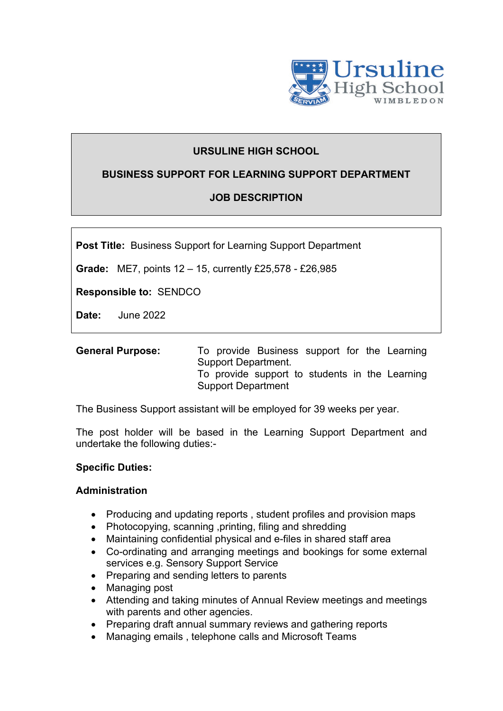

# **URSULINE HIGH SCHOOL**

### **BUSINESS SUPPORT FOR LEARNING SUPPORT DEPARTMENT**

# **JOB DESCRIPTION**

**Post Title:** Business Support for Learning Support Department

**Grade:** ME7, points 12 – 15, currently £25,578 - £26,985

**Responsible to:** SENDCO

**Date:** June 2022

| <b>General Purpose:</b> | To provide Business support for the Learning   |
|-------------------------|------------------------------------------------|
|                         | Support Department.                            |
|                         | To provide support to students in the Learning |
|                         | <b>Support Department</b>                      |

The Business Support assistant will be employed for 39 weeks per year.

The post holder will be based in the Learning Support Department and undertake the following duties:-

#### **Specific Duties:**

#### **Administration**

- Producing and updating reports , student profiles and provision maps
- Photocopying, scanning ,printing, filing and shredding
- Maintaining confidential physical and e-files in shared staff area
- Co-ordinating and arranging meetings and bookings for some external services e.g. Sensory Support Service
- Preparing and sending letters to parents
- Managing post
- Attending and taking minutes of Annual Review meetings and meetings with parents and other agencies.
- Preparing draft annual summary reviews and gathering reports
- Managing emails , telephone calls and Microsoft Teams